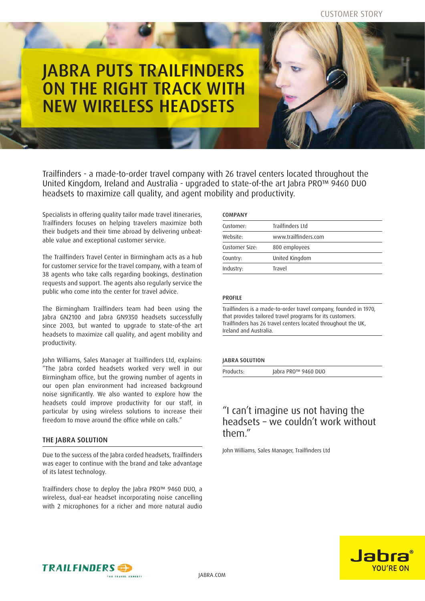# JABRA PUTS TRAILFINDERS ON THE RIGHT TRACK WITH NEW WIRELESS HEADSETS

Trailfinders - a made-to-order travel company with 26 travel centers located throughout the United Kingdom, Ireland and Australia - upgraded to state-of-the art Jabra PRO™ 9460 DUO headsets to maximize call quality, and agent mobility and productivity.

Specialists in offering quality tailor made travel itineraries, Trailfinders focuses on helping travelers maximize both their budgets and their time abroad by delivering unbeatable value and exceptional customer service.

The Trailfinders Travel Center in Birmingham acts as a hub for customer service for the travel company, with a team of 38 agents who take calls regarding bookings, destination requests and support. The agents also regularly service the public who come into the center for travel advice.

The Birmingham Trailfinders team had been using the Jabra GN2100 and Jabra GN9350 headsets successfully since 2003, but wanted to upgrade to state-of-the art headsets to maximize call quality, and agent mobility and productivity.

John Williams, Sales Manager at Trailfinders Ltd, explains: "The Jabra corded headsets worked very well in our Birmingham office, but the growing number of agents in our open plan environment had increased background noise significantly. We also wanted to explore how the headsets could improve productivity for our staff, in particular by using wireless solutions to increase their freedom to move around the office while on calls."

## THE JABRA SOLUTION

Due to the success of the Jabra corded headsets, Trailfinders was eager to continue with the brand and take advantage of its latest technology.

Trailfinders chose to deploy the Jabra PRO™ 9460 DUO, a wireless, dual-ear headset incorporating noise cancelling with 2 microphones for a richer and more natural audio

| Trailfinders Itd     |
|----------------------|
| www.trailfinders.com |
| 800 employees        |
| United Kingdom       |
| Travel               |
|                      |

#### **PROFILE**

Trailfinders is a made-to-order travel company, founded in 1970, that provides tailored travel programs for its customers. Trailfinders has 26 travel centers located throughout the UK, Ireland and Australia.

### Jabra Solution

Products: Jabra PRO™ 9460 DUO

# "I can't imagine us not having the headsets – we couldn't work without them."

John Williams, Sales Manager, Trailfinders Ltd